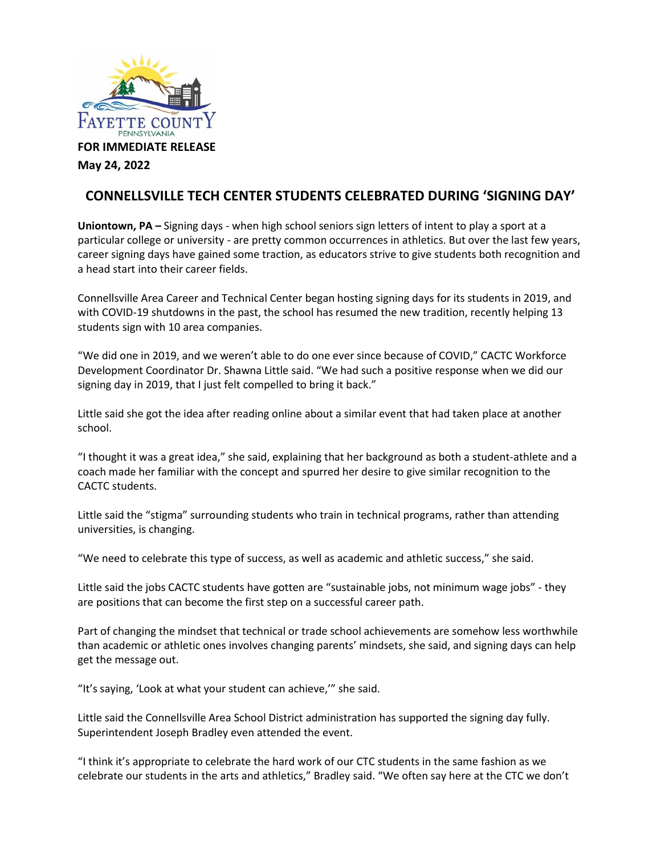

**FOR IMMEDIATE RELEASE** 

**May 24, 2022**

## **CONNELLSVILLE TECH CENTER STUDENTS CELEBRATED DURING 'SIGNING DAY'**

**Uniontown, PA –** Signing days - when high school seniors sign letters of intent to play a sport at a particular college or university - are pretty common occurrences in athletics. But over the last few years, career signing days have gained some traction, as educators strive to give students both recognition and a head start into their career fields.

Connellsville Area Career and Technical Center began hosting signing days for its students in 2019, and with COVID-19 shutdowns in the past, the school has resumed the new tradition, recently helping 13 students sign with 10 area companies.

"We did one in 2019, and we weren't able to do one ever since because of COVID," CACTC Workforce Development Coordinator Dr. Shawna Little said. "We had such a positive response when we did our signing day in 2019, that I just felt compelled to bring it back."

Little said she got the idea after reading online about a similar event that had taken place at another school.

"I thought it was a great idea," she said, explaining that her background as both a student-athlete and a coach made her familiar with the concept and spurred her desire to give similar recognition to the CACTC students.

Little said the "stigma" surrounding students who train in technical programs, rather than attending universities, is changing.

"We need to celebrate this type of success, as well as academic and athletic success," she said.

Little said the jobs CACTC students have gotten are "sustainable jobs, not minimum wage jobs" - they are positions that can become the first step on a successful career path.

Part of changing the mindset that technical or trade school achievements are somehow less worthwhile than academic or athletic ones involves changing parents' mindsets, she said, and signing days can help get the message out.

"It's saying, 'Look at what your student can achieve,'" she said.

Little said the Connellsville Area School District administration has supported the signing day fully. Superintendent Joseph Bradley even attended the event.

"I think it's appropriate to celebrate the hard work of our CTC students in the same fashion as we celebrate our students in the arts and athletics," Bradley said. "We often say here at the CTC we don't